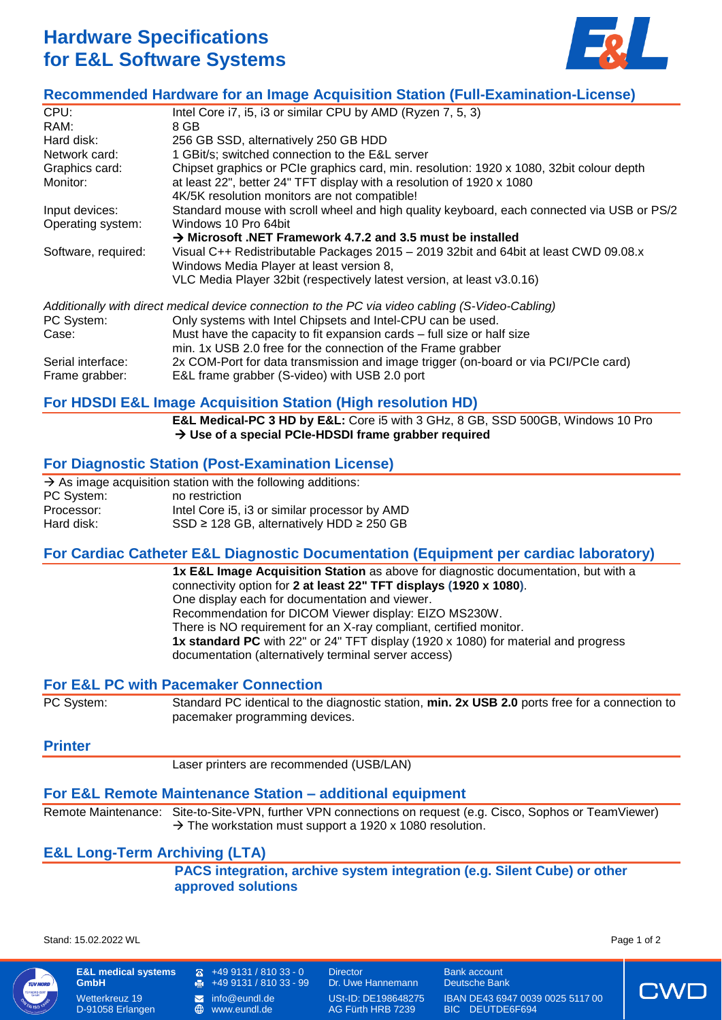# **Hardware Specifications for E&L Software Systems**



# **Recommended Hardware for an Image Acquisition Station (Full-Examination-License)**

| CPU:                | Intel Core i7, i5, i3 or similar CPU by AMD (Ryzen 7, 5, 3)                                                                      |  |
|---------------------|----------------------------------------------------------------------------------------------------------------------------------|--|
| RAM:                | 8 GB                                                                                                                             |  |
| Hard disk:          | 256 GB SSD, alternatively 250 GB HDD                                                                                             |  |
| Network card:       | 1 GBit/s; switched connection to the E&L server                                                                                  |  |
| Graphics card:      | Chipset graphics or PCIe graphics card, min. resolution: 1920 x 1080, 32bit colour depth                                         |  |
| Monitor:            | at least 22", better 24" TFT display with a resolution of 1920 x 1080                                                            |  |
|                     | 4K/5K resolution monitors are not compatible!                                                                                    |  |
| Input devices:      | Standard mouse with scroll wheel and high quality keyboard, each connected via USB or PS/2                                       |  |
| Operating system:   | Windows 10 Pro 64bit                                                                                                             |  |
|                     | $\rightarrow$ Microsoft .NET Framework 4.7.2 and 3.5 must be installed                                                           |  |
| Software, required: | Visual C++ Redistributable Packages 2015 - 2019 32bit and 64bit at least CWD 09.08.x<br>Windows Media Player at least version 8, |  |
|                     | VLC Media Player 32bit (respectively latest version, at least v3.0.16)                                                           |  |
|                     |                                                                                                                                  |  |
|                     | Additionally with direct medical device connection to the PC via video cabling (S-Video-Cabling)                                 |  |
| PC System:          | Only systems with Intel Chipsets and Intel-CPU can be used.                                                                      |  |
| Case:               | Must have the capacity to fit expansion cards – full size or half size                                                           |  |
|                     | min. 1x USB 2.0 free for the connection of the Frame grabber                                                                     |  |
| Serial interface:   | 2x COM-Port for data transmission and image trigger (on-board or via PCI/PCIe card)                                              |  |
| Frame grabber:      | E&L frame grabber (S-video) with USB 2.0 port                                                                                    |  |
|                     |                                                                                                                                  |  |

# **For HDSDI E&L Image Acquisition Station (High resolution HD)**

**E&L Medical-PC 3 HD by E&L:** Core i5 with 3 GHz, 8 GB, SSD 500GB, Windows 10 Pro **Use of a special PCIe-HDSDI frame grabber required**

# **For Diagnostic Station (Post-Examination License)**

|            | $\rightarrow$ As image acquisition station with the following additions: |
|------------|--------------------------------------------------------------------------|
| PC System: | no restriction                                                           |
| Processor: | Intel Core i5, i3 or similar processor by AMD                            |
| Hard disk: | $SSD \ge 128$ GB, alternatively HDD $\ge 250$ GB                         |

# **For Cardiac Catheter E&L Diagnostic Documentation (Equipment per cardiac laboratory)**

**1x E&L Image Acquisition Station** as above for diagnostic documentation, but with a connectivity option for **2 at least 22" TFT displays (1920 x 1080)**. One display each for documentation and viewer. Recommendation for DICOM Viewer display: EIZO MS230W. There is NO requirement for an X-ray compliant, certified monitor. **1x standard PC** with 22" or 24" TFT display (1920 x 1080) for material and progress documentation (alternatively terminal server access)

# **For E&L PC with Pacemaker Connection**

PC System: Standard PC identical to the diagnostic station, **min. 2x USB 2.0** ports free for a connection to pacemaker programming devices.

# **Printer**

Laser printers are recommended (USB/LAN)

# **For E&L Remote Maintenance Station – additional equipment**

Remote Maintenance: Site-to-Site-VPN, further VPN connections on request (e.g. Cisco, Sophos or TeamViewer)  $\rightarrow$  The workstation must support a 1920 x 1080 resolution.

# **E&L Long-Term Archiving (LTA)**

**PACS integration, archive system integration (e.g. Silent Cube) or other approved solutions**

Stand: 15.02.2022 WL Page 1 of 2



**GmbH** Wetterkreuz 19 D-91058 Erlangen

**E&L medical systems** 

- +49 9131 / 810 33 0 Director Bank account  $\oplus$
- 
- $\bigoplus$

[www.eundl.de](http://www.eundl.de/) AG Fürth HRB 7239 BIC DEUTDE6F694

+49 9131 / 810 33 - 99 Dr. Uwe Hannemann Deutsche Bank **1** [info@eundl.de](mailto:info@eundl.de) USt-ID: DE198648275 IBAN DE43 6947 0039 0025 5117 00<br> **⊕** www.eundl.de AG Fürth HRB 7239 BIC DEUTDE6F694